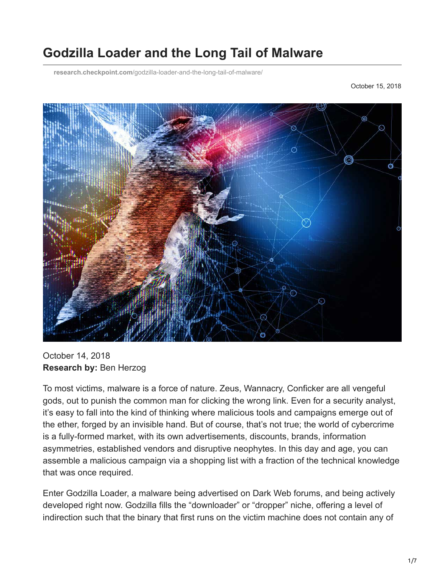# **Godzilla Loader and the Long Tail of Malware**

**research.checkpoint.com**[/godzilla-loader-and-the-long-tail-of-malware/](https://research.checkpoint.com/godzilla-loader-and-the-long-tail-of-malware/)

October 15, 2018



October 14, 2018 **Research by:** Ben Herzog

To most victims, malware is a force of nature. Zeus, Wannacry, Conficker are all vengeful gods, out to punish the common man for clicking the wrong link. Even for a security analyst, it's easy to fall into the kind of thinking where malicious tools and campaigns emerge out of the ether, forged by an invisible hand. But of course, that's not true; the world of cybercrime is a fully-formed market, with its own advertisements, discounts, brands, information asymmetries, established vendors and disruptive neophytes. In this day and age, you can assemble a malicious campaign via a shopping list with a fraction of the technical knowledge that was once required.

Enter Godzilla Loader, a malware being advertised on Dark Web forums, and being actively developed right now. Godzilla fills the "downloader" or "dropper" niche, offering a level of indirection such that the binary that first runs on the victim machine does not contain any of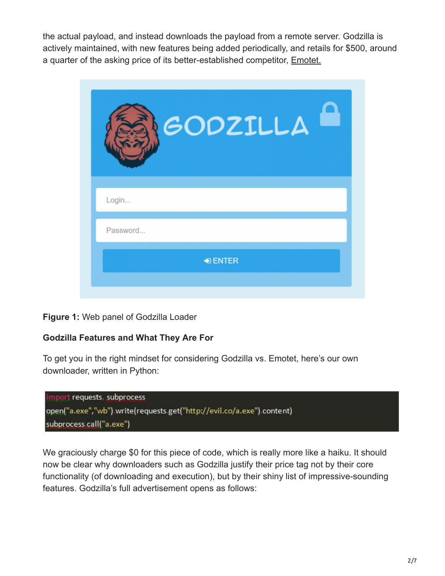the actual payload, and instead downloads the payload from a remote server. Godzilla is actively maintained, with new features being added periodically, and retails for \$500, around a quarter of the asking price of its better-established competitor, [Emotet.](https://research.checkpoint.com/emotet-tricky-trojan-git-clones/)

| GODZILLA                 |  |
|--------------------------|--|
| Login                    |  |
| Password                 |  |
| $\bigtriangledown$ ENTER |  |
|                          |  |

#### **Figure 1:** Web panel of Godzilla Loader

#### **Godzilla Features and What They Are For**

To get you in the right mindset for considering Godzilla vs. Emotet, here's our own downloader, written in Python:



We graciously charge \$0 for this piece of code, which is really more like a haiku. It should now be clear why downloaders such as Godzilla justify their price tag not by their core functionality (of downloading and execution), but by their shiny list of impressive-sounding features. Godzilla's full advertisement opens as follows: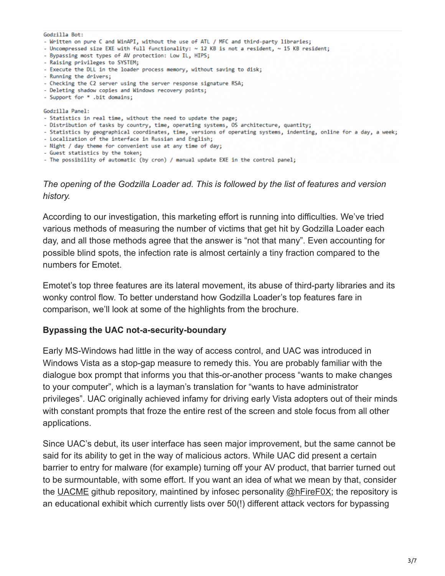| Godzilla Bot:                                                                                                       |
|---------------------------------------------------------------------------------------------------------------------|
| - Written on pure C and WinAPI, without the use of ATL / MFC and third-party libraries;                             |
| - Uncompressed size EXE with full functionality: $\sim$ 12 KB is not a resident, $\sim$ 15 KB resident;             |
| - Bypassing most types of AV protection: Low IL, HIPS;                                                              |
| - Raising privileges to SYSTEM:                                                                                     |
| - Execute the DLL in the loader process memory, without saving to disk;                                             |
| - Running the drivers;                                                                                              |
| - Checking the C2 server using the server response signature RSA;                                                   |
| - Deleting shadow copies and Windows recovery points;                                                               |
| - Support for * .bit domains:                                                                                       |
|                                                                                                                     |
| Godzilla Panel:                                                                                                     |
| - Statistics in real time, without the need to update the page;                                                     |
| - Distribution of tasks by country, time, operating systems, OS architecture, quantity;                             |
| - Statistics by geographical coordinates, time, versions of operating systems, indenting, online for a day, a week; |
| - Localization of the interface in Russian and English:                                                             |
| - Night / day theme for convenient use at any time of day;                                                          |
| - Guest statistics by the token;                                                                                    |
| - The possibility of automatic (by cron) / manual update EXE in the control panel;                                  |

*The opening of the Godzilla Loader ad. This is followed by the list of features and version history.*

According to our investigation, this marketing effort is running into difficulties. We've tried various methods of measuring the number of victims that get hit by Godzilla Loader each day, and all those methods agree that the answer is "not that many". Even accounting for possible blind spots, the infection rate is almost certainly a tiny fraction compared to the numbers for Emotet.

Emotet's top three features are its lateral movement, its abuse of third-party libraries and its wonky control flow. To better understand how Godzilla Loader's top features fare in comparison, we'll look at some of the highlights from the brochure.

#### **Bypassing the UAC not-a-security-boundary**

Early MS-Windows had little in the way of access control, and UAC was introduced in Windows Vista as a stop-gap measure to remedy this. You are probably familiar with the dialogue box prompt that informs you that this-or-another process "wants to make changes to your computer", which is a layman's translation for "wants to have administrator privileges". UAC originally achieved infamy for driving early Vista adopters out of their minds with constant prompts that froze the entire rest of the screen and stole focus from all other applications.

Since UAC's debut, its user interface has seen major improvement, but the same cannot be said for its ability to get in the way of malicious actors. While UAC did present a certain barrier to entry for malware (for example) turning off your AV product, that barrier turned out to be surmountable, with some effort. If you want an idea of what we mean by that, consider the [UACME](https://github.com/hfiref0x/UACME/tree/master/Source) github repository, maintined by infosec personality [@hFireF0X;](https://twitter.com/hFireF0X) the repository is an educational exhibit which currently lists over 50(!) different attack vectors for bypassing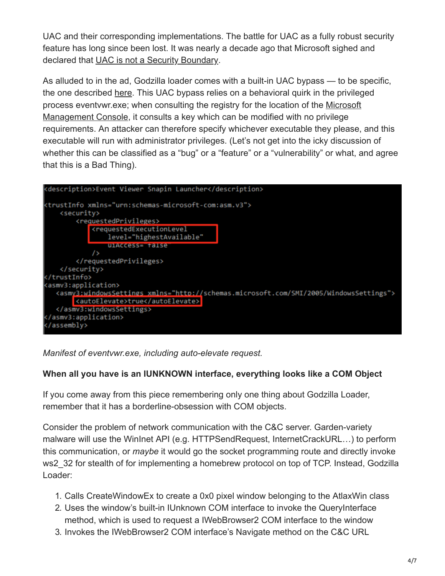UAC and their corresponding implementations. The battle for UAC as a fully robust security feature has long since been lost. It was nearly a decade ago that Microsoft sighed and declared that [UAC is not a Security Boundary.](https://blogs.msdn.microsoft.com/e7/2009/02/05/update-on-uac/)

As alluded to in the ad, Godzilla loader comes with a built-in UAC bypass — to be specific, the one described [here.](https://enigma0x3.net/2016/08/15/fileless-uac-bypass-using-eventvwr-exe-and-registry-hijacking/) This UAC bypass relies on a behavioral quirk in the privileged [process eventvwr.exe; when consulting the registry for the location of the Microsoft](https://en.wikipedia.org/wiki/Microsoft_Management_Console) Management Console, it consults a key which can be modified with no privilege requirements. An attacker can therefore specify whichever executable they please, and this executable will run with administrator privileges. (Let's not get into the icky discussion of whether this can be classified as a "bug" or a "feature" or a "vulnerability" or what, and agree that this is a Bad Thing).



*Manifest of eventvwr.exe, including auto-elevate request.*

## **When all you have is an IUNKNOWN interface, everything looks like a COM Object**

If you come away from this piece remembering only one thing about Godzilla Loader, remember that it has a borderline-obsession with COM objects.

Consider the problem of network communication with the C&C server. Garden-variety malware will use the WinInet API (e.g. HTTPSendRequest, InternetCrackURL…) to perform this communication, or *maybe* it would go the socket programming route and directly invoke ws2 32 for stealth of for implementing a homebrew protocol on top of TCP. Instead, Godzilla Loader:

- 1. Calls CreateWindowEx to create a 0x0 pixel window belonging to the AtlaxWin class
- 2. Uses the window's built-in IUnknown COM interface to invoke the QueryInterface method, which is used to request a IWebBrowser2 COM interface to the window
- 3. Invokes the IWebBrowser2 COM interface's Navigate method on the C&C URL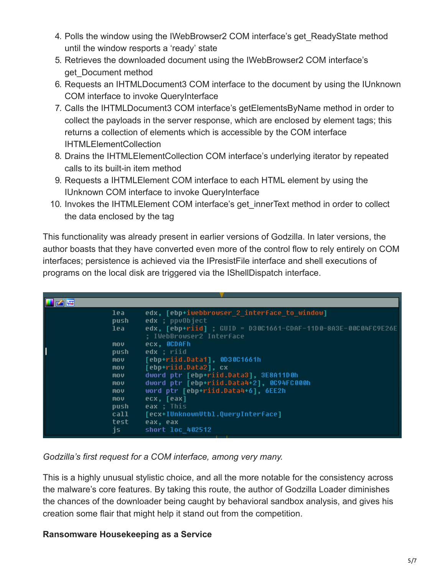- 4. Polls the window using the IWebBrowser2 COM interface's get ReadyState method until the window resports a 'ready' state
- 5. Retrieves the downloaded document using the IWebBrowser2 COM interface's get\_Document method
- 6. Requests an IHTMLDocument3 COM interface to the document by using the IUnknown COM interface to invoke QueryInterface
- 7. Calls the IHTMLDocument3 COM interface's getElementsByName method in order to collect the payloads in the server response, which are enclosed by element tags; this returns a collection of elements which is accessible by the COM interface IHTMLElementCollection
- 8. Drains the IHTMLElementCollection COM interface's underlying iterator by repeated calls to its built-in item method
- 9. Requests a IHTMLElement COM interface to each HTML element by using the IUnknown COM interface to invoke QueryInterface
- 10. Invokes the IHTMLEI ement COM interface's get innerText method in order to collect the data enclosed by the tag

This functionality was already present in earlier versions of Godzilla. In later versions, the author boasts that they have converted even more of the control flow to rely entirely on COM interfaces; persistence is achieved via the IPresistFile interface and shell executions of programs on the local disk are triggered via the IShellDispatch interface.

| edx, [ebp+iwebbrowser_2_interface_to_window]<br>lea |  |
|-----------------------------------------------------|--|
| edx ; ppv0bject<br>push                             |  |
| lea                                                 |  |
| ; IWebBrowser2 Interface                            |  |
| ecx, OCDAFh<br><b>MOV</b>                           |  |
| edx : riid<br>push                                  |  |
| [ebp+riid.Data1], 0D30C1661h<br><b>MOV</b>          |  |
| [ebp+riid.Data2], cx<br><b>MOV</b>                  |  |
| dword ptr [ebp+riid.Data3], 3E8A11D0h<br>mov        |  |
| dword ptr [ebp+riid.Data4+2], 0C94FC000h<br>mov     |  |
| word ptr [ebp+riid.Data4+6], 6EE2h<br>mov           |  |
| ecx, [eax]<br><b>MOV</b>                            |  |
| eax ; This<br>push                                  |  |
| [ecx+IUnknownUtbl.QueryInterface]<br>call           |  |
| test<br>eax, eax                                    |  |
| js<br>short loc 402512                              |  |

#### *Godzilla's first request for a COM interface, among very many.*

This is a highly unusual stylistic choice, and all the more notable for the consistency across the malware's core features. By taking this route, the author of Godzilla Loader diminishes the chances of the downloader being caught by behavioral sandbox analysis, and gives his creation some flair that might help it stand out from the competition.

## **Ransomware Housekeeping as a Service**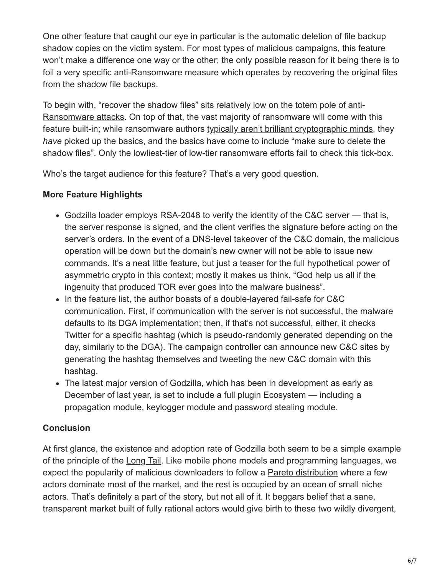One other feature that caught our eye in particular is the automatic deletion of file backup shadow copies on the victim system. For most types of malicious campaigns, this feature won't make a difference one way or the other; the only possible reason for it being there is to foil a very specific anti-Ransomware measure which operates by recovering the original files from the shadow file backups.

[To begin with, "recover the shadow files" sits relatively low on the totem pole of anti-](https://blog.checkpoint.com/2015/08/17/what-you-can-and-cant-do-against-ransomware/)Ransomware attacks. On top of that, the vast majority of ransomware will come with this feature built-in; while ransomware authors [typically aren't brilliant cryptographic minds](https://blog.checkpoint.com/wp-content/uploads/2016/10/GreatCryptoFailuresWhitepaper_Draft2.pdf), they *have* picked up the basics, and the basics have come to include "make sure to delete the shadow files". Only the lowliest-tier of low-tier ransomware efforts fail to check this tick-box.

Who's the target audience for this feature? That's a very good question.

## **More Feature Highlights**

- Godzilla loader employs RSA-2048 to verify the identity of the C&C server that is, the server response is signed, and the client verifies the signature before acting on the server's orders. In the event of a DNS-level takeover of the C&C domain, the malicious operation will be down but the domain's new owner will not be able to issue new commands. It's a neat little feature, but just a teaser for the full hypothetical power of asymmetric crypto in this context; mostly it makes us think, "God help us all if the ingenuity that produced TOR ever goes into the malware business".
- In the feature list, the author boasts of a double-layered fail-safe for C&C communication. First, if communication with the server is not successful, the malware defaults to its DGA implementation; then, if that's not successful, either, it checks Twitter for a specific hashtag (which is pseudo-randomly generated depending on the day, similarly to the DGA). The campaign controller can announce new C&C sites by generating the hashtag themselves and tweeting the new C&C domain with this hashtag.
- The latest major version of Godzilla, which has been in development as early as December of last year, is set to include a full plugin Ecosystem — including a propagation module, keylogger module and password stealing module.

## **Conclusion**

At first glance, the existence and adoption rate of Godzilla both seem to be a simple example of the principle of the [Long Tail.](https://en.wikipedia.org/wiki/Long_tail) Like mobile phone models and programming languages, we expect the popularity of malicious downloaders to follow a [Pareto distribution](https://en.wikipedia.org/wiki/Pareto_principle) where a few actors dominate most of the market, and the rest is occupied by an ocean of small niche actors. That's definitely a part of the story, but not all of it. It beggars belief that a sane, transparent market built of fully rational actors would give birth to these two wildly divergent,